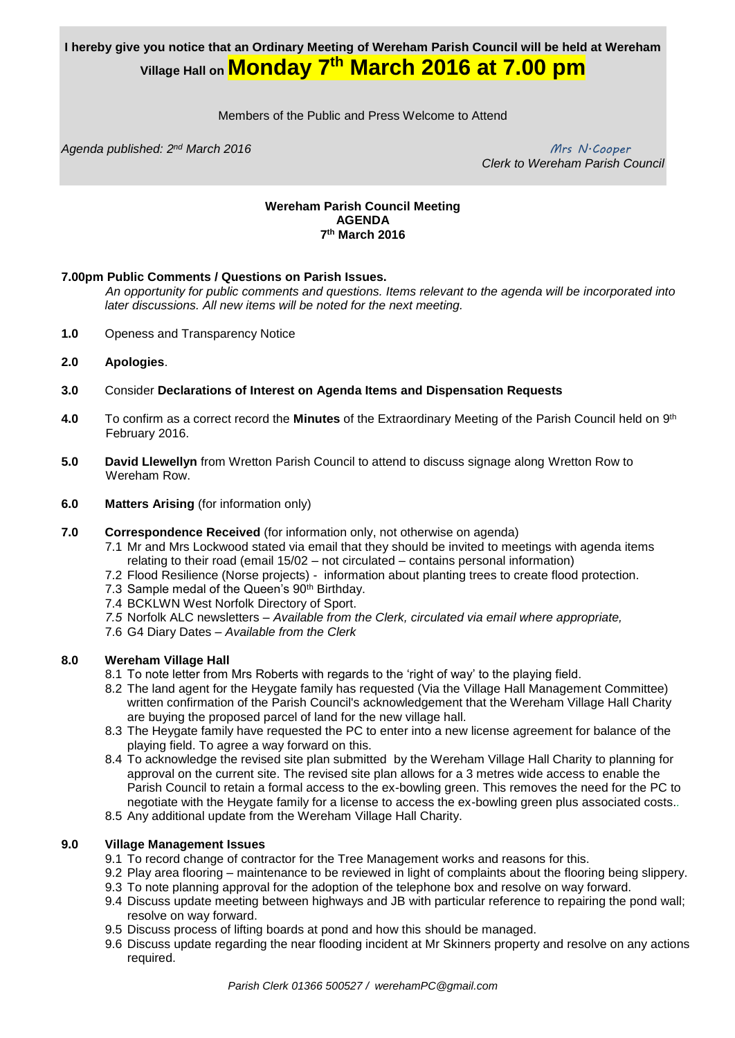# **I hereby give you notice that an Ordinary Meeting of Wereham Parish Council will be held at Wereham Village Hall on Monday 7 th March 2016 at 7.00 pm**

Members of the Public and Press Welcome to Attend

*Agenda published: 2 nd March 2016 Mrs N.Cooper*

 *Clerk to Wereham Parish Council*

#### **Wereham Parish Council Meeting AGENDA 7 th March 2016**

#### **7.00pm Public Comments / Questions on Parish Issues.**

*An opportunity for public comments and questions. Items relevant to the agenda will be incorporated into later discussions. All new items will be noted for the next meeting.*

- **1.0** Openess and Transparency Notice
- **2.0 Apologies**.
- **3.0** Consider **Declarations of Interest on Agenda Items and Dispensation Requests**
- 4.0 To confirm as a correct record the Minutes of the Extraordinary Meeting of the Parish Council held on 9<sup>th</sup> February 2016.
- **5.0 David Llewellyn** from Wretton Parish Council to attend to discuss signage along Wretton Row to Wereham Row.
- **6.0 Matters Arising** (for information only)
- **7.0 Correspondence Received** (for information only, not otherwise on agenda)
	- 7.1 Mr and Mrs Lockwood stated via email that they should be invited to meetings with agenda items relating to their road (email 15/02 – not circulated – contains personal information)
	- 7.2 Flood Resilience (Norse projects) information about planting trees to create flood protection.
	- 7.3 Sample medal of the Queen's 90<sup>th</sup> Birthday.
	- 7.4 BCKLWN West Norfolk Directory of Sport.
	- *7.5* Norfolk ALC newsletters *– Available from the Clerk, circulated via email where appropriate,*
	- 7.6 G4 Diary Dates *Available from the Clerk*

#### **8.0 Wereham Village Hall**

- 8.1 To note letter from Mrs Roberts with regards to the 'right of way' to the playing field.
- 8.2 The land agent for the Heygate family has requested (Via the Village Hall Management Committee) written confirmation of the Parish Council's acknowledgement that the Wereham Village Hall Charity are buying the proposed parcel of land for the new village hall.
- 8.3 The Heygate family have requested the PC to enter into a new license agreement for balance of the playing field. To agree a way forward on this.
- 8.4 To acknowledge the revised site plan submitted by the Wereham Village Hall Charity to planning for approval on the current site. The revised site plan allows for a 3 metres wide access to enable the Parish Council to retain a formal access to the ex-bowling green. This removes the need for the PC to negotiate with the Heygate family for a license to access the ex-bowling green plus associated costs.*.*
- 8.5 Any additional update from the Wereham Village Hall Charity.

#### **9.0 Village Management Issues**

- 9.1 To record change of contractor for the Tree Management works and reasons for this.
- 9.2 Play area flooring maintenance to be reviewed in light of complaints about the flooring being slippery.
- 9.3 To note planning approval for the adoption of the telephone box and resolve on way forward.
- 9.4 Discuss update meeting between highways and JB with particular reference to repairing the pond wall; resolve on way forward.
- 9.5 Discuss process of lifting boards at pond and how this should be managed.
- 9.6 Discuss update regarding the near flooding incident at Mr Skinners property and resolve on any actions required.